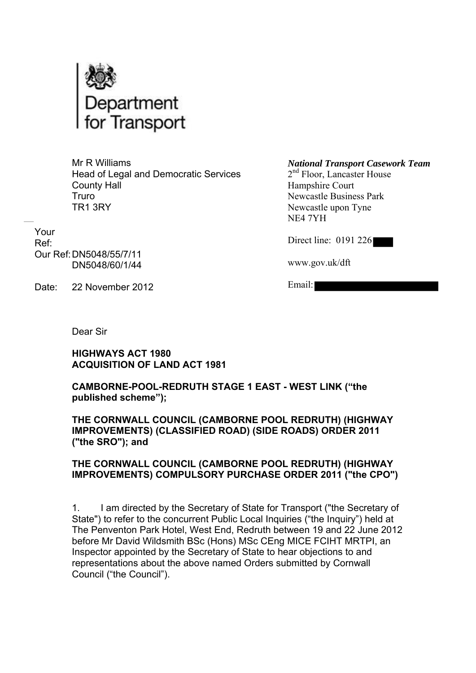

Mr R Williams Head of Legal and Democratic Services County Hall Truro TR1 3RY

Your Ref: Our Ref:DN5048/55/7/11 DN5048/60/1/44

Date: 22 November 2012

*National Transport Casework Team* 2<sup>nd</sup> Floor, Lancaster House

Hampshire Court Newcastle Business Park Newcastle upon Tyne NE4 7YH

Direct line: 0191 226

www.gov.uk/dft

Email:

Dear Sir

**HIGHWAYS ACT 1980 ACQUISITION OF LAND ACT 1981** 

**CAMBORNE-POOL-REDRUTH STAGE 1 EAST - WEST LINK ("the published scheme");**

**THE CORNWALL COUNCIL (CAMBORNE POOL REDRUTH) (HIGHWAY IMPROVEMENTS) (CLASSIFIED ROAD) (SIDE ROADS) ORDER 2011 ("the SRO"); and** 

### **THE CORNWALL COUNCIL (CAMBORNE POOL REDRUTH) (HIGHWAY IMPROVEMENTS) COMPULSORY PURCHASE ORDER 2011 ("the CPO")**

1. I am directed by the Secretary of State for Transport ("the Secretary of State") to refer to the concurrent Public Local Inquiries ("the Inquiry") held at The Penventon Park Hotel, West End, Redruth between 19 and 22 June 2012 before Mr David Wildsmith BSc (Hons) MSc CEng MICE FCIHT MRTPI, an Inspector appointed by the Secretary of State to hear objections to and representations about the above named Orders submitted by Cornwall Council ("the Council").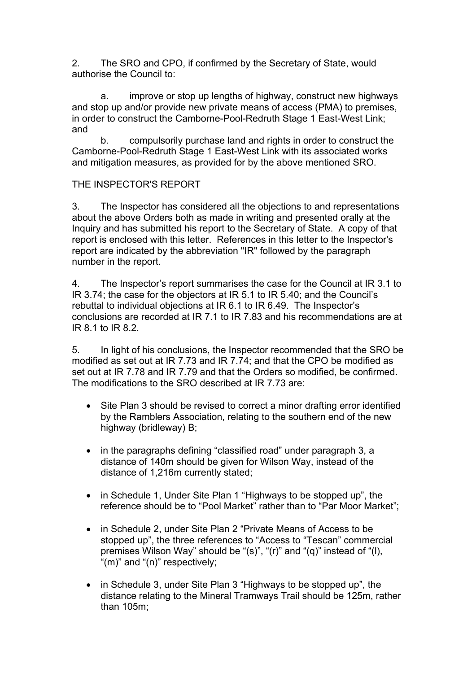2. The SRO and CPO, if confirmed by the Secretary of State, would authorise the Council to:

a. improve or stop up lengths of highway, construct new highways and stop up and/or provide new private means of access (PMA) to premises, in order to construct the Camborne-Pool-Redruth Stage 1 East-West Link; and

b. compulsorily purchase land and rights in order to construct the Camborne-Pool-Redruth Stage 1 East-West Link with its associated works and mitigation measures, as provided for by the above mentioned SRO.

## THE INSPECTOR'S REPORT

3. The Inspector has considered all the objections to and representations about the above Orders both as made in writing and presented orally at the Inquiry and has submitted his report to the Secretary of State. A copy of that report is enclosed with this letter. References in this letter to the Inspector's report are indicated by the abbreviation "IR" followed by the paragraph number in the report.

4. The Inspector's report summarises the case for the Council at IR 3.1 to IR 3.74; the case for the objectors at IR 5.1 to IR 5.40; and the Council's rebuttal to individual objections at IR 6.1 to IR 6.49. The Inspector's conclusions are recorded at IR 7.1 to IR 7.83 and his recommendations are at IR 8.1 to IR 8.2.

5. In light of his conclusions, the Inspector recommended that the SRO be modified as set out at IR 7.73 and IR 7.74; and that the CPO be modified as set out at IR 7.78 and IR 7.79 and that the Orders so modified, be confirmed**.**  The modifications to the SRO described at IR 7.73 are:

- Site Plan 3 should be revised to correct a minor drafting error identified by the Ramblers Association, relating to the southern end of the new highway (bridleway) B;
- in the paragraphs defining "classified road" under paragraph 3, a distance of 140m should be given for Wilson Way, instead of the distance of 1,216m currently stated;
- in Schedule 1, Under Site Plan 1 "Highways to be stopped up", the reference should be to "Pool Market" rather than to "Par Moor Market";
- in Schedule 2, under Site Plan 2 "Private Means of Access to be stopped up", the three references to "Access to "Tescan" commercial premises Wilson Way" should be "(s)", "(r)" and "(q)" instead of "(l), "(m)" and "(n)" respectively;
- in Schedule 3, under Site Plan 3 "Highways to be stopped up", the distance relating to the Mineral Tramways Trail should be 125m, rather than 105m;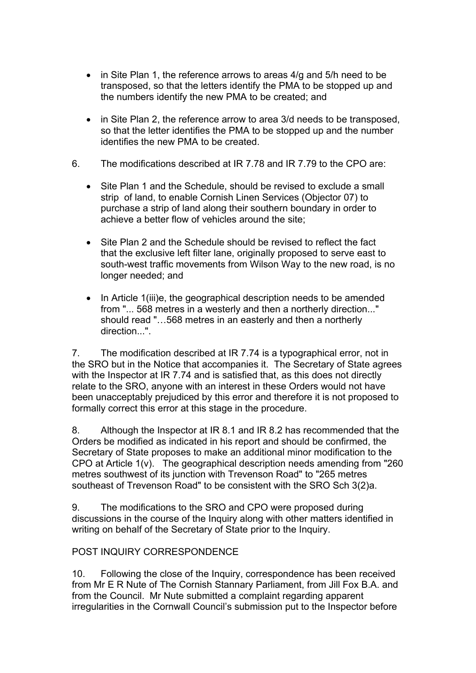- in Site Plan 1, the reference arrows to areas 4/g and 5/h need to be transposed, so that the letters identify the PMA to be stopped up and the numbers identify the new PMA to be created; and
- in Site Plan 2, the reference arrow to area 3/d needs to be transposed, so that the letter identifies the PMA to be stopped up and the number identifies the new PMA to be created.
- 6. The modifications described at IR 7.78 and IR 7.79 to the CPO are:
	- Site Plan 1 and the Schedule, should be revised to exclude a small strip of land, to enable Cornish Linen Services (Objector 07) to purchase a strip of land along their southern boundary in order to achieve a better flow of vehicles around the site;
	- Site Plan 2 and the Schedule should be revised to reflect the fact that the exclusive left filter lane, originally proposed to serve east to south-west traffic movements from Wilson Way to the new road, is no longer needed; and
	- In Article 1(iii)e, the geographical description needs to be amended from "... 568 metres in a westerly and then a northerly direction..." should read "…568 metres in an easterly and then a northerly direction...".

7. The modification described at IR 7.74 is a typographical error, not in the SRO but in the Notice that accompanies it. The Secretary of State agrees with the Inspector at IR 7.74 and is satisfied that, as this does not directly relate to the SRO, anyone with an interest in these Orders would not have been unacceptably prejudiced by this error and therefore it is not proposed to formally correct this error at this stage in the procedure.

8. Although the Inspector at IR 8.1 and IR 8.2 has recommended that the Orders be modified as indicated in his report and should be confirmed, the Secretary of State proposes to make an additional minor modification to the CPO at Article 1(v). The geographical description needs amending from "260 metres southwest of its junction with Trevenson Road" to "265 metres southeast of Trevenson Road" to be consistent with the SRO Sch 3(2)a.

9. The modifications to the SRO and CPO were proposed during discussions in the course of the Inquiry along with other matters identified in writing on behalf of the Secretary of State prior to the Inquiry.

### POST INQUIRY CORRESPONDENCE

10. Following the close of the Inquiry, correspondence has been received from Mr E R Nute of The Cornish Stannary Parliament, from Jill Fox B.A. and from the Council. Mr Nute submitted a complaint regarding apparent irregularities in the Cornwall Council's submission put to the Inspector before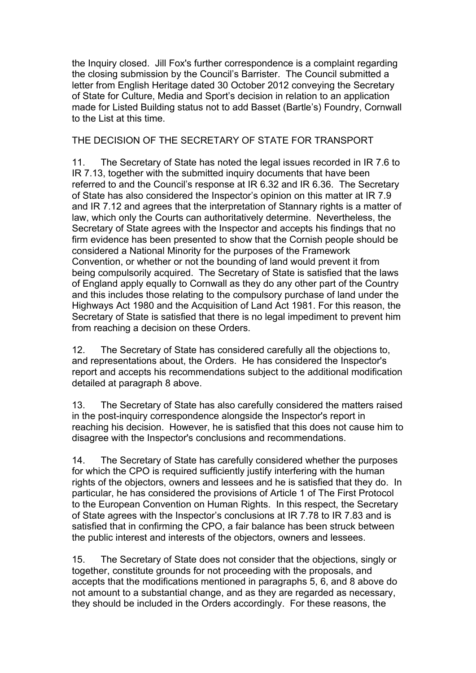the Inquiry closed. Jill Fox's further correspondence is a complaint regarding the closing submission by the Council's Barrister. The Council submitted a letter from English Heritage dated 30 October 2012 conveying the Secretary of State for Culture, Media and Sport's decision in relation to an application made for Listed Building status not to add Basset (Bartle's) Foundry, Cornwall to the List at this time.

THE DECISION OF THE SECRETARY OF STATE FOR TRANSPORT

11. The Secretary of State has noted the legal issues recorded in IR 7.6 to IR 7.13, together with the submitted inquiry documents that have been referred to and the Council's response at IR 6.32 and IR 6.36. The Secretary of State has also considered the Inspector's opinion on this matter at IR 7.9 and IR 7.12 and agrees that the interpretation of Stannary rights is a matter of law, which only the Courts can authoritatively determine. Nevertheless, the Secretary of State agrees with the Inspector and accepts his findings that no firm evidence has been presented to show that the Cornish people should be considered a National Minority for the purposes of the Framework Convention, or whether or not the bounding of land would prevent it from being compulsorily acquired. The Secretary of State is satisfied that the laws of England apply equally to Cornwall as they do any other part of the Country and this includes those relating to the compulsory purchase of land under the Highways Act 1980 and the Acquisition of Land Act 1981. For this reason, the Secretary of State is satisfied that there is no legal impediment to prevent him from reaching a decision on these Orders.

12. The Secretary of State has considered carefully all the objections to, and representations about, the Orders. He has considered the Inspector's report and accepts his recommendations subject to the additional modification detailed at paragraph 8 above.

13. The Secretary of State has also carefully considered the matters raised in the post-inquiry correspondence alongside the Inspector's report in reaching his decision. However, he is satisfied that this does not cause him to disagree with the Inspector's conclusions and recommendations.

14. The Secretary of State has carefully considered whether the purposes for which the CPO is required sufficiently justify interfering with the human rights of the objectors, owners and lessees and he is satisfied that they do. In particular, he has considered the provisions of Article 1 of The First Protocol to the European Convention on Human Rights. In this respect, the Secretary of State agrees with the Inspector's conclusions at IR 7.78 to IR 7.83 and is satisfied that in confirming the CPO, a fair balance has been struck between the public interest and interests of the objectors, owners and lessees.

15. The Secretary of State does not consider that the objections, singly or together, constitute grounds for not proceeding with the proposals, and accepts that the modifications mentioned in paragraphs 5, 6, and 8 above do not amount to a substantial change, and as they are regarded as necessary, they should be included in the Orders accordingly. For these reasons, the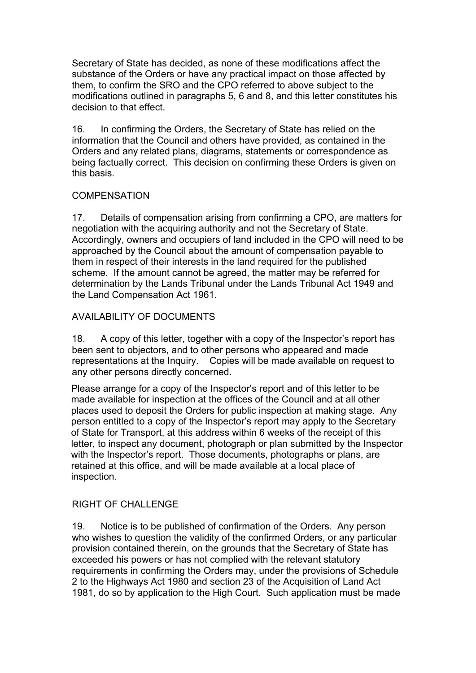Secretary of State has decided, as none of these modifications affect the substance of the Orders or have any practical impact on those affected by them, to confirm the SRO and the CPO referred to above subject to the modifications outlined in paragraphs 5, 6 and 8, and this letter constitutes his decision to that effect.

16. In confirming the Orders, the Secretary of State has relied on the information that the Council and others have provided, as contained in the Orders and any related plans, diagrams, statements or correspondence as being factually correct. This decision on confirming these Orders is given on this basis.

## **COMPENSATION**

17. Details of compensation arising from confirming a CPO, are matters for negotiation with the acquiring authority and not the Secretary of State. Accordingly, owners and occupiers of land included in the CPO will need to be approached by the Council about the amount of compensation payable to them in respect of their interests in the land required for the published scheme. If the amount cannot be agreed, the matter may be referred for determination by the Lands Tribunal under the Lands Tribunal Act 1949 and the Land Compensation Act 1961.

# AVAILABILITY OF DOCUMENTS

18. A copy of this letter, together with a copy of the Inspector's report has been sent to objectors, and to other persons who appeared and made representations at the Inquiry. Copies will be made available on request to any other persons directly concerned.

Please arrange for a copy of the Inspector's report and of this letter to be made available for inspection at the offices of the Council and at all other places used to deposit the Orders for public inspection at making stage. Any person entitled to a copy of the Inspector's report may apply to the Secretary of State for Transport, at this address within 6 weeks of the receipt of this letter, to inspect any document, photograph or plan submitted by the Inspector with the Inspector's report. Those documents, photographs or plans, are retained at this office, and will be made available at a local place of inspection.

# RIGHT OF CHALLENGE

19. Notice is to be published of confirmation of the Orders. Any person who wishes to question the validity of the confirmed Orders, or any particular provision contained therein, on the grounds that the Secretary of State has exceeded his powers or has not complied with the relevant statutory requirements in confirming the Orders may, under the provisions of Schedule 2 to the Highways Act 1980 and section 23 of the Acquisition of Land Act 1981, do so by application to the High Court. Such application must be made